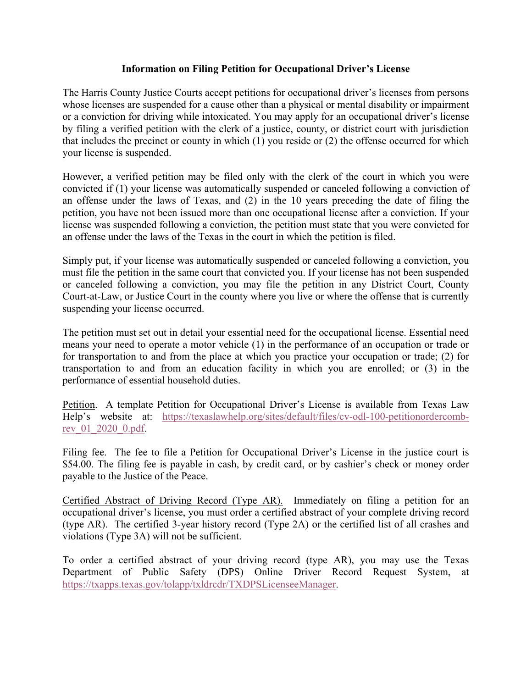## **Information on Filing Petition for Occupational Driver's License**

The Harris County Justice Courts accept petitions for occupational driver's licenses from persons whose licenses are suspended for a cause other than a physical or mental disability or impairment or a conviction for driving while intoxicated. You may apply for an occupational driver's license by filing a verified petition with the clerk of a justice, county, or district court with jurisdiction that includes the precinct or county in which (1) you reside or (2) the offense occurred for which your license is suspended.

However, a verified petition may be filed only with the clerk of the court in which you were convicted if (1) your license was automatically suspended or canceled following a conviction of an offense under the laws of Texas, and (2) in the 10 years preceding the date of filing the petition, you have not been issued more than one occupational license after a conviction. If your license was suspended following a conviction, the petition must state that you were convicted for an offense under the laws of the Texas in the court in which the petition is filed.

Simply put, if your license was automatically suspended or canceled following a conviction, you must file the petition in the same court that convicted you. If your license has not been suspended or canceled following a conviction, you may file the petition in any District Court, County Court-at-Law, or Justice Court in the county where you live or where the offense that is currently suspending your license occurred.

The petition must set out in detail your essential need for the occupational license. Essential need means your need to operate a motor vehicle (1) in the performance of an occupation or trade or for transportation to and from the place at which you practice your occupation or trade; (2) for transportation to and from an education facility in which you are enrolled; or (3) in the performance of essential household duties.

Petition. A template Petition for Occupational Driver's License is available from Texas Law Help's website at: https://texaslawhelp.org/sites/default/files/cv-odl-100-petitionordercombrev\_01\_2020\_0.pdf.

Filing fee. The fee to file a Petition for Occupational Driver's License in the justice court is \$54.00. The filing fee is payable in cash, by credit card, or by cashier's check or money order payable to the Justice of the Peace.

Certified Abstract of Driving Record (Type AR). Immediately on filing a petition for an occupational driver's license, you must order a certified abstract of your complete driving record (type AR). The certified 3-year history record (Type 2A) or the certified list of all crashes and violations (Type 3A) will not be sufficient.

To order a certified abstract of your driving record (type AR), you may use the Texas Department of Public Safety (DPS) Online Driver Record Request System, at https://txapps.texas.gov/tolapp/txldrcdr/TXDPSLicenseeManager.